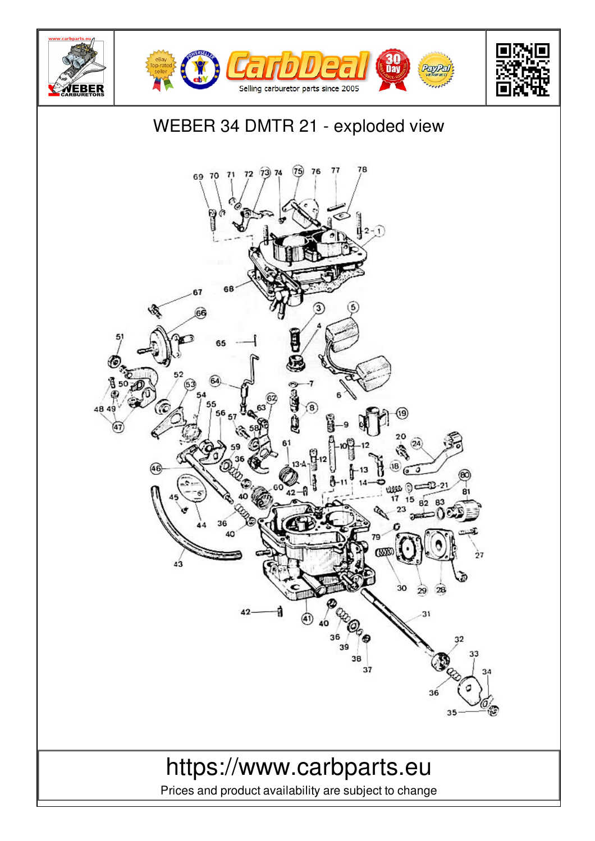